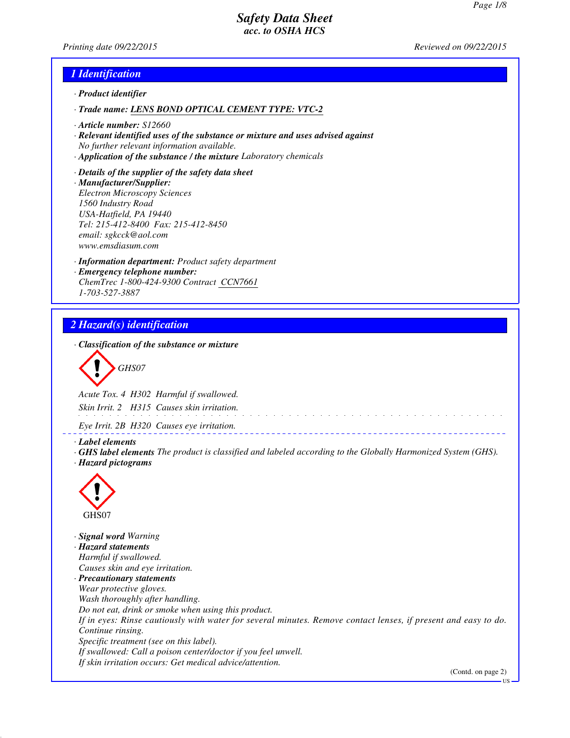*Printing date 09/22/2015 Reviewed on 09/22/2015*

## *1 Identification*

- *· Product identifier*
- *· Trade name: LENS BOND OPTICAL CEMENT TYPE: VTC-2*
- *· Article number: S12660*
- *· Relevant identified uses of the substance or mixture and uses advised against No further relevant information available.*
- *· Application of the substance / the mixture Laboratory chemicals*
- *· Details of the supplier of the safety data sheet · Manufacturer/Supplier: Electron Microscopy Sciences 1560 Industry Road USA-Hatfield, PA 19440 Tel: 215-412-8400 Fax: 215-412-8450 email: sgkcck@aol.com www.emsdiasum.com*
- *· Information department: Product safety department · Emergency telephone number: ChemTrec 1-800-424-9300 Contract CCN7661 1-703-527-3887*

# *2 Hazard(s) identification*

*· Classification of the substance or mixture*

*GHS07*

*Acute Tox. 4 H302 Harmful if swallowed. Skin Irrit. 2 H315 Causes skin irritation.*

*Eye Irrit. 2B H320 Causes eye irritation.*

*· Label elements*

*· GHS label elements The product is classified and labeled according to the Globally Harmonized System (GHS). · Hazard pictograms*

\_\_\_\_\_\_\_\_\_\_\_\_\_\_\_\_\_\_\_



*· Signal word Warning · Hazard statements Harmful if swallowed. Causes skin and eye irritation. · Precautionary statements Wear protective gloves. Wash thoroughly after handling. Do not eat, drink or smoke when using this product. If in eyes: Rinse cautiously with water for several minutes. Remove contact lenses, if present and easy to do. Continue rinsing. Specific treatment (see on this label). If swallowed: Call a poison center/doctor if you feel unwell. If skin irritation occurs: Get medical advice/attention.*

(Contd. on page 2)

US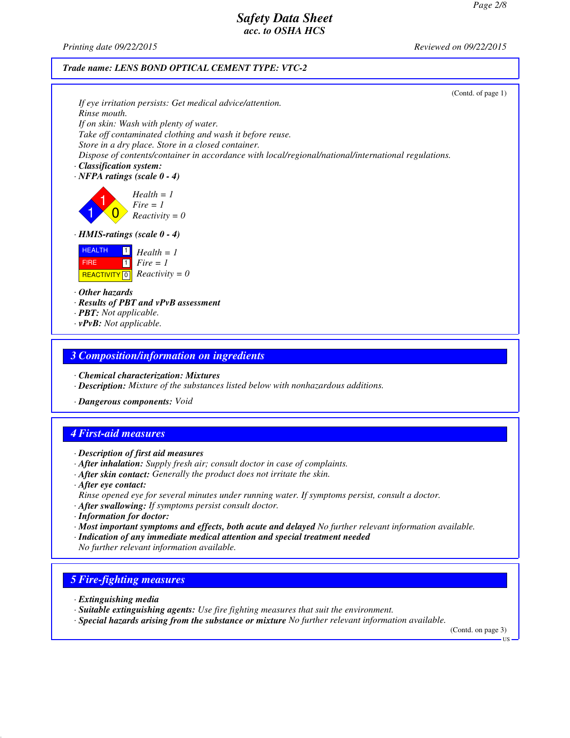*Printing date 09/22/2015 Reviewed on 09/22/2015*

#### *Trade name: LENS BOND OPTICAL CEMENT TYPE: VTC-2*

|                                                                                                                                        | (Contd. of page 1) |
|----------------------------------------------------------------------------------------------------------------------------------------|--------------------|
| If eye irritation persists: Get medical advice/attention.                                                                              |                    |
| Rinse mouth.                                                                                                                           |                    |
| If on skin: Wash with plenty of water.<br>Take off contaminated clothing and wash it before reuse.                                     |                    |
| Store in a dry place. Store in a closed container.                                                                                     |                    |
| Dispose of contents/container in accordance with local/regional/national/international regulations.                                    |                    |
| Classification system:                                                                                                                 |                    |
| $\cdot$ NFPA ratings (scale 0 - 4)                                                                                                     |                    |
| $Health = 1$<br>Fire = 1<br>Reactivity = $0$                                                                                           |                    |
| $\cdot$ HMIS-ratings (scale $0 - 4$ )                                                                                                  |                    |
| <b>HEALTH</b><br>$\mathbf{1}$<br>$Health = 1$<br>$\Box$ Fire = 1<br><b>FIRE</b><br><b>REACTIVITY</b> $\boxed{0}$ <i>Reactivity</i> = 0 |                    |
| $\cdot$ Other hazards                                                                                                                  |                    |
| · Results of PBT and vPvB assessment                                                                                                   |                    |
| $\cdot$ <b>PBT:</b> Not applicable.                                                                                                    |                    |
| $\cdot v$ PvB: Not applicable.                                                                                                         |                    |
|                                                                                                                                        |                    |

### *3 Composition/information on ingredients*

*· Chemical characterization: Mixtures*

- *· Description: Mixture of the substances listed below with nonhazardous additions.*
- *· Dangerous components: Void*

# *4 First-aid measures*

*· Description of first aid measures*

- *· After inhalation: Supply fresh air; consult doctor in case of complaints.*
- *· After skin contact: Generally the product does not irritate the skin.*
- *· After eye contact:*
- *Rinse opened eye for several minutes under running water. If symptoms persist, consult a doctor.*
- *· After swallowing: If symptoms persist consult doctor.*
- *· Information for doctor:*
- *· Most important symptoms and effects, both acute and delayed No further relevant information available.*
- *· Indication of any immediate medical attention and special treatment needed*
- *No further relevant information available.*

## *5 Fire-fighting measures*

- *· Extinguishing media*
- *· Suitable extinguishing agents: Use fire fighting measures that suit the environment.*
- *· Special hazards arising from the substance or mixture No further relevant information available.*

(Contd. on page 3) US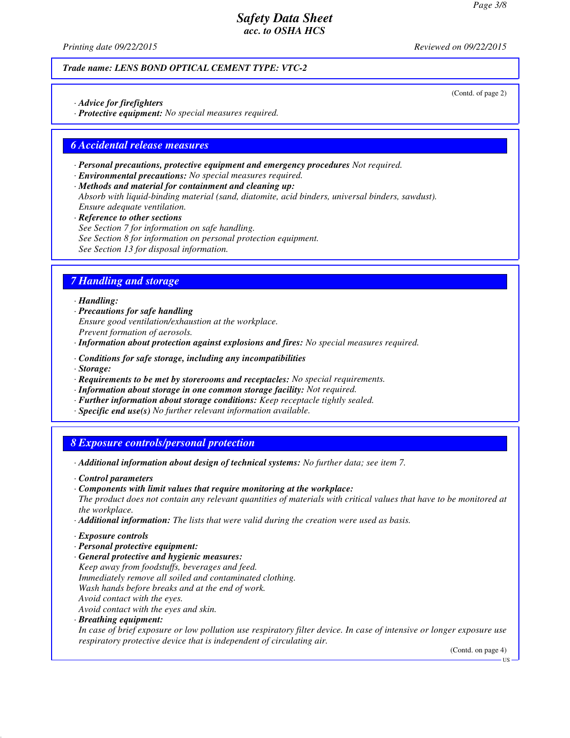*Printing date 09/22/2015 Reviewed on 09/22/2015*

(Contd. of page 2)

#### *Trade name: LENS BOND OPTICAL CEMENT TYPE: VTC-2*

*· Advice for firefighters*

*· Protective equipment: No special measures required.*

#### *6 Accidental release measures*

- *· Personal precautions, protective equipment and emergency procedures Not required.*
- *· Environmental precautions: No special measures required.*

*· Methods and material for containment and cleaning up: Absorb with liquid-binding material (sand, diatomite, acid binders, universal binders, sawdust). Ensure adequate ventilation.*

*· Reference to other sections See Section 7 for information on safe handling. See Section 8 for information on personal protection equipment. See Section 13 for disposal information.*

## *7 Handling and storage*

#### *· Handling:*

- *· Precautions for safe handling Ensure good ventilation/exhaustion at the workplace. Prevent formation of aerosols.*
- *· Information about protection against explosions and fires: No special measures required.*
- *· Conditions for safe storage, including any incompatibilities*
- *· Storage:*
- *· Requirements to be met by storerooms and receptacles: No special requirements.*
- *· Information about storage in one common storage facility: Not required.*
- *· Further information about storage conditions: Keep receptacle tightly sealed.*
- *· Specific end use(s) No further relevant information available.*

## *8 Exposure controls/personal protection*

- *· Additional information about design of technical systems: No further data; see item 7.*
- *· Control parameters*
- *· Components with limit values that require monitoring at the workplace:*
- *The product does not contain any relevant quantities of materials with critical values that have to be monitored at the workplace.*
- *· Additional information: The lists that were valid during the creation were used as basis.*
- *· Exposure controls*
- *· Personal protective equipment:*
- *· General protective and hygienic measures: Keep away from foodstuffs, beverages and feed. Immediately remove all soiled and contaminated clothing. Wash hands before breaks and at the end of work. Avoid contact with the eyes. Avoid contact with the eyes and skin.*
- *· Breathing equipment:*

*In case of brief exposure or low pollution use respiratory filter device. In case of intensive or longer exposure use respiratory protective device that is independent of circulating air.*

(Contd. on page 4)

US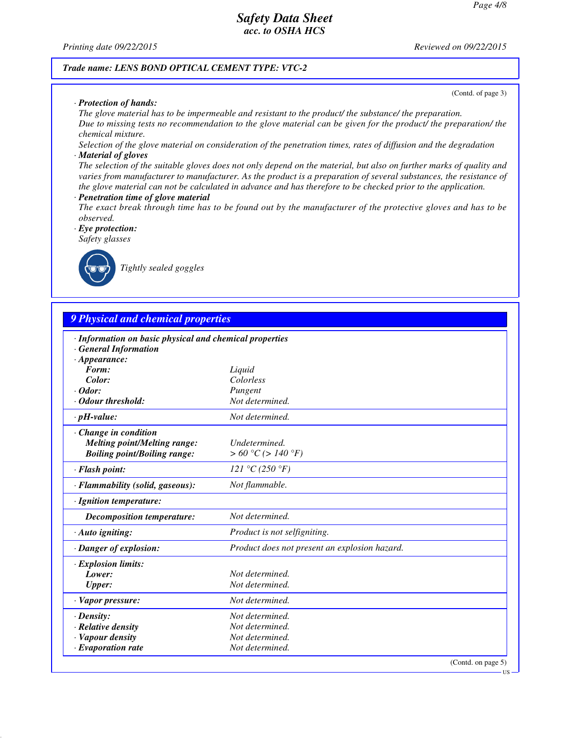*Printing date 09/22/2015 Reviewed on 09/22/2015*

#### *Trade name: LENS BOND OPTICAL CEMENT TYPE: VTC-2*

#### *· Protection of hands:*

*The glove material has to be impermeable and resistant to the product/ the substance/ the preparation. Due to missing tests no recommendation to the glove material can be given for the product/ the preparation/ the chemical mixture.*

*Selection of the glove material on consideration of the penetration times, rates of diffusion and the degradation · Material of gloves*

*The selection of the suitable gloves does not only depend on the material, but also on further marks of quality and varies from manufacturer to manufacturer. As the product is a preparation of several substances, the resistance of the glove material can not be calculated in advance and has therefore to be checked prior to the application.*

#### *· Penetration time of glove material*

*The exact break through time has to be found out by the manufacturer of the protective gloves and has to be observed.*

## *· Eye protection:*

*Safety glasses*



*Tightly sealed goggles*

# *9 Physical and chemical properties*

| · Information on basic physical and chemical properties |                                               |                    |
|---------------------------------------------------------|-----------------------------------------------|--------------------|
| <b>General Information</b>                              |                                               |                    |
| $\cdot$ Appearance:<br>Form:                            |                                               |                    |
| Color:                                                  | Liquid<br>Colorless                           |                    |
| $\cdot$ Odor:                                           | Pungent                                       |                    |
| · Odour threshold:                                      | Not determined.                               |                    |
|                                                         |                                               |                    |
| $\cdot$ pH-value:                                       | Not determined.                               |                    |
| Change in condition                                     |                                               |                    |
| <b>Melting point/Melting range:</b>                     | Undetermined.                                 |                    |
| <b>Boiling point/Boiling range:</b>                     | > 60 °C (> 140 °F)                            |                    |
| · Flash point:                                          | 121 °C (250 °F)                               |                    |
| · Flammability (solid, gaseous):                        | Not flammable.                                |                    |
| · Ignition temperature:                                 |                                               |                    |
| Decomposition temperature:                              | Not determined.                               |                    |
| · Auto igniting:                                        | Product is not selfigniting.                  |                    |
| · Danger of explosion:                                  | Product does not present an explosion hazard. |                    |
| $\cdot$ Explosion limits:                               |                                               |                    |
| Lower:                                                  | Not determined.                               |                    |
| <b>Upper:</b>                                           | Not determined.                               |                    |
| · Vapor pressure:                                       | Not determined.                               |                    |
| $\cdot$ Density:                                        | Not determined.                               |                    |
| · Relative density                                      | Not determined.                               |                    |
| · Vapour density                                        | Not determined.                               |                    |
| $\cdot$ Evaporation rate                                | Not determined.                               |                    |
|                                                         |                                               | (Contd. on page 5) |

(Contd. of page 3)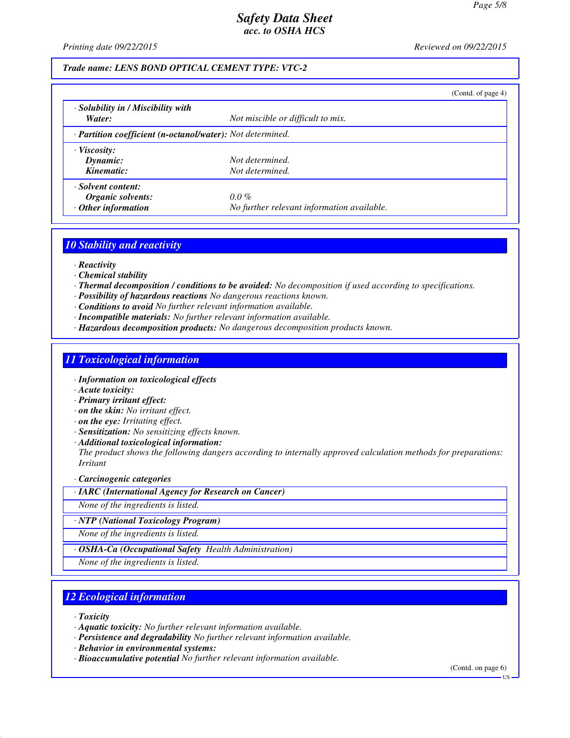*Printing date 09/22/2015 Reviewed on 09/22/2015*

### *Trade name: LENS BOND OPTICAL CEMENT TYPE: VTC-2*

|                                                            |                                            | (Contd. of page 4) |
|------------------------------------------------------------|--------------------------------------------|--------------------|
| · Solubility in / Miscibility with                         |                                            |                    |
| Water:                                                     | Not miscible or difficult to mix.          |                    |
| · Partition coefficient (n-octanol/water): Not determined. |                                            |                    |
| $\cdot$ Viscosity:                                         |                                            |                    |
| Dynamic:                                                   | Not determined.                            |                    |
| Kinematic:                                                 | Not determined.                            |                    |
| · Solvent content:                                         |                                            |                    |
| Organic solvents:                                          | $0.0\%$                                    |                    |
| $\cdot$ Other information                                  | No further relevant information available. |                    |

### *10 Stability and reactivity*

- *· Reactivity*
- *· Chemical stability*
- *· Thermal decomposition / conditions to be avoided: No decomposition if used according to specifications.*
- *· Possibility of hazardous reactions No dangerous reactions known.*
- *· Conditions to avoid No further relevant information available.*
- *· Incompatible materials: No further relevant information available.*
- *· Hazardous decomposition products: No dangerous decomposition products known.*

## *11 Toxicological information*

- *· Information on toxicological effects*
- *· Acute toxicity:*
- *· Primary irritant effect:*
- *· on the skin: No irritant effect.*
- *· on the eye: Irritating effect.*
- *· Sensitization: No sensitizing effects known.*
- *· Additional toxicological information:*

*The product shows the following dangers according to internally approved calculation methods for preparations: Irritant*

#### *· Carcinogenic categories*

*· IARC (International Agency for Research on Cancer)*

*None of the ingredients is listed.*

*· NTP (National Toxicology Program)*

*None of the ingredients is listed.*

*· OSHA-Ca (Occupational Safety Health Administration)*

*None of the ingredients is listed.*

## *12 Ecological information*

*· Toxicity*

*· Aquatic toxicity: No further relevant information available.*

- *· Persistence and degradability No further relevant information available.*
- *· Behavior in environmental systems:*
- *· Bioaccumulative potential No further relevant information available.*

(Contd. on page 6)

**TIS**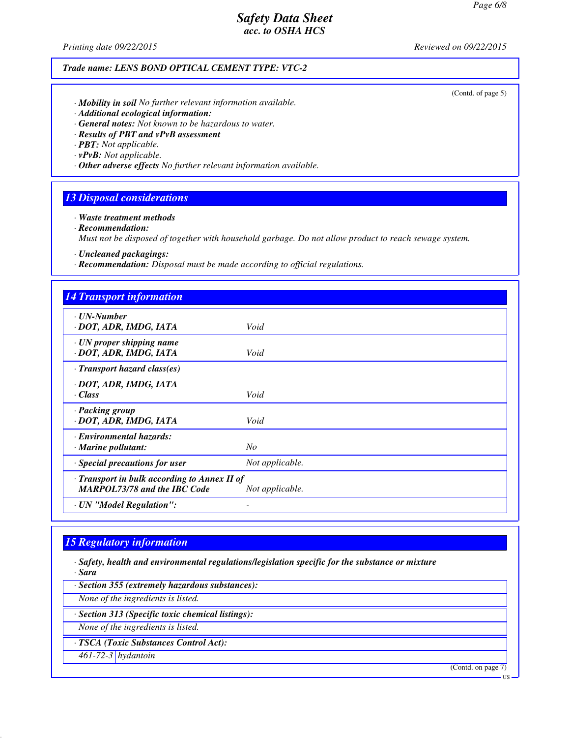*Printing date 09/22/2015 Reviewed on 09/22/2015*

*Trade name: LENS BOND OPTICAL CEMENT TYPE: VTC-2*

(Contd. of page 5)

- *· Mobility in soil No further relevant information available.*
- *· Additional ecological information:*
- *· General notes: Not known to be hazardous to water.*
- *· Results of PBT and vPvB assessment*
- *· PBT: Not applicable.*
- *· vPvB: Not applicable.*
- *· Other adverse effects No further relevant information available.*

## *13 Disposal considerations*

*· Waste treatment methods*

*· Recommendation:*

*Must not be disposed of together with household garbage. Do not allow product to reach sewage system.*

*· Uncleaned packagings:*

*· Recommendation: Disposal must be made according to official regulations.*

| <b>14 Transport information</b>                                                     |                 |
|-------------------------------------------------------------------------------------|-----------------|
| · UN-Number<br>· DOT, ADR, IMDG, IATA                                               | Void            |
| $\cdot$ UN proper shipping name<br>· DOT, ADR, IMDG, IATA                           | Void            |
| $\cdot$ Transport hazard class(es)                                                  |                 |
| · DOT, ADR, IMDG, IATA<br>· Class                                                   | Void            |
| · Packing group<br>· DOT, ADR, IMDG, IATA                                           | Void            |
| <b>Environmental hazards:</b><br>· Marine pollutant:                                | No              |
| · Special precautions for user                                                      | Not applicable. |
| · Transport in bulk according to Annex II of<br><b>MARPOL73/78 and the IBC Code</b> | Not applicable. |
| · UN "Model Regulation":                                                            |                 |

# *15 Regulatory information*

*· Safety, health and environmental regulations/legislation specific for the substance or mixture · Sara*

*· Section 355 (extremely hazardous substances):*

*None of the ingredients is listed.*

*· Section 313 (Specific toxic chemical listings):*

*None of the ingredients is listed.*

*· TSCA (Toxic Substances Control Act):*

*461-72-3 hydantoin*

(Contd. on page 7)

**IIS**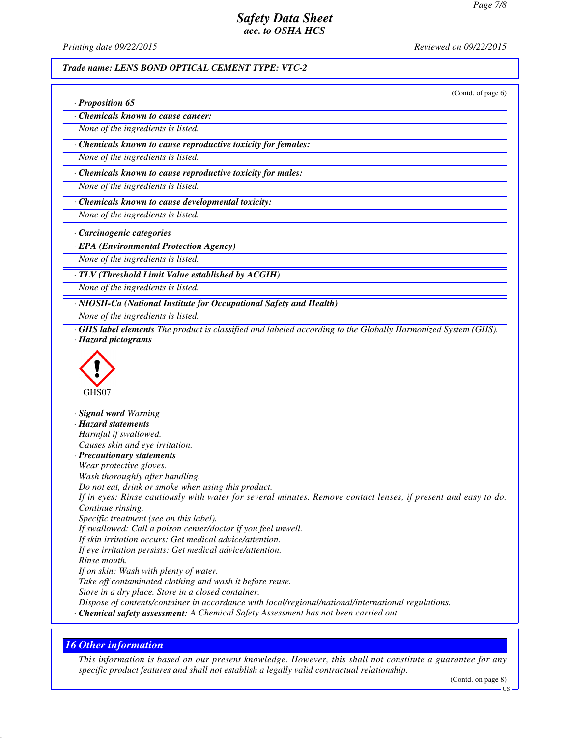*Printing date 09/22/2015 Reviewed on 09/22/2015*

#### *Trade name: LENS BOND OPTICAL CEMENT TYPE: VTC-2*

(Contd. of page 6)

|  | · Proposition 65 |  |
|--|------------------|--|
|--|------------------|--|

*· Chemicals known to cause cancer:*

*None of the ingredients is listed.*

*· Chemicals known to cause reproductive toxicity for females:*

*None of the ingredients is listed.*

*· Chemicals known to cause reproductive toxicity for males:*

*None of the ingredients is listed.*

*· Chemicals known to cause developmental toxicity:*

*None of the ingredients is listed.*

*· Carcinogenic categories*

*· EPA (Environmental Protection Agency)*

*None of the ingredients is listed.*

*· TLV (Threshold Limit Value established by ACGIH)*

*None of the ingredients is listed.*

*· NIOSH-Ca (National Institute for Occupational Safety and Health)*

*None of the ingredients is listed.*

*· GHS label elements The product is classified and labeled according to the Globally Harmonized System (GHS). · Hazard pictograms*



*· Signal word Warning · Hazard statements Harmful if swallowed. Causes skin and eye irritation. · Precautionary statements Wear protective gloves. Wash thoroughly after handling. Do not eat, drink or smoke when using this product. If in eyes: Rinse cautiously with water for several minutes. Remove contact lenses, if present and easy to do. Continue rinsing. Specific treatment (see on this label). If swallowed: Call a poison center/doctor if you feel unwell. If skin irritation occurs: Get medical advice/attention. If eye irritation persists: Get medical advice/attention. Rinse mouth. If on skin: Wash with plenty of water. Take off contaminated clothing and wash it before reuse. Store in a dry place. Store in a closed container. Dispose of contents/container in accordance with local/regional/national/international regulations. · Chemical safety assessment: A Chemical Safety Assessment has not been carried out.*

## *16 Other information*

*This information is based on our present knowledge. However, this shall not constitute a guarantee for any specific product features and shall not establish a legally valid contractual relationship.*

(Contd. on page 8)

US